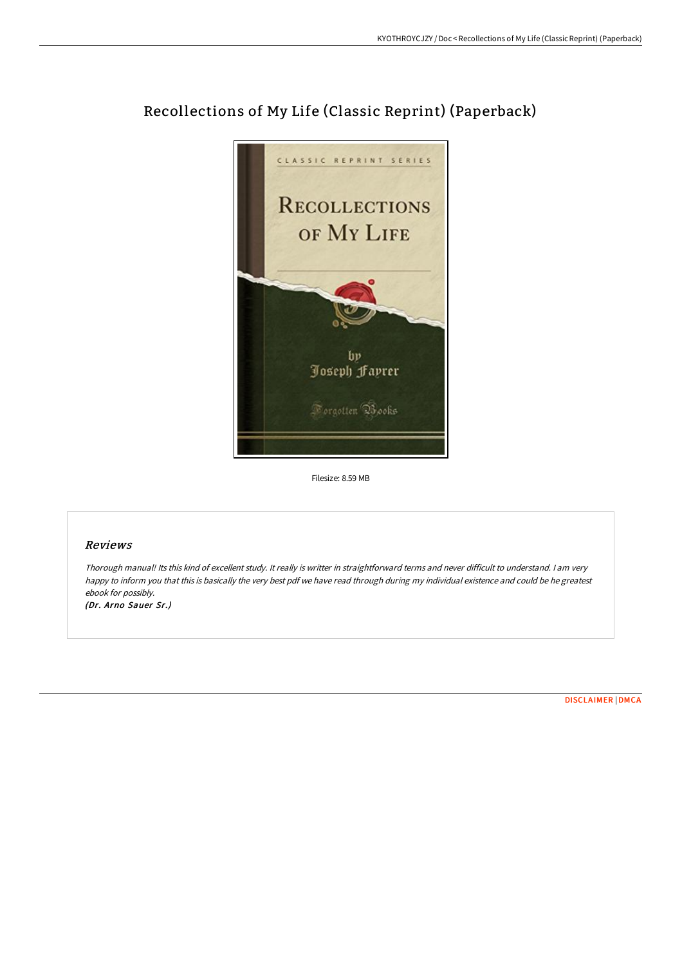

# Recollections of My Life (Classic Reprint) (Paperback)

Filesize: 8.59 MB

# Reviews

Thorough manual! Its this kind of excellent study. It really is writter in straightforward terms and never difficult to understand. <sup>I</sup> am very happy to inform you that this is basically the very best pdf we have read through during my individual existence and could be he greatest ebook for possibly.

(Dr. Arno Sauer Sr.)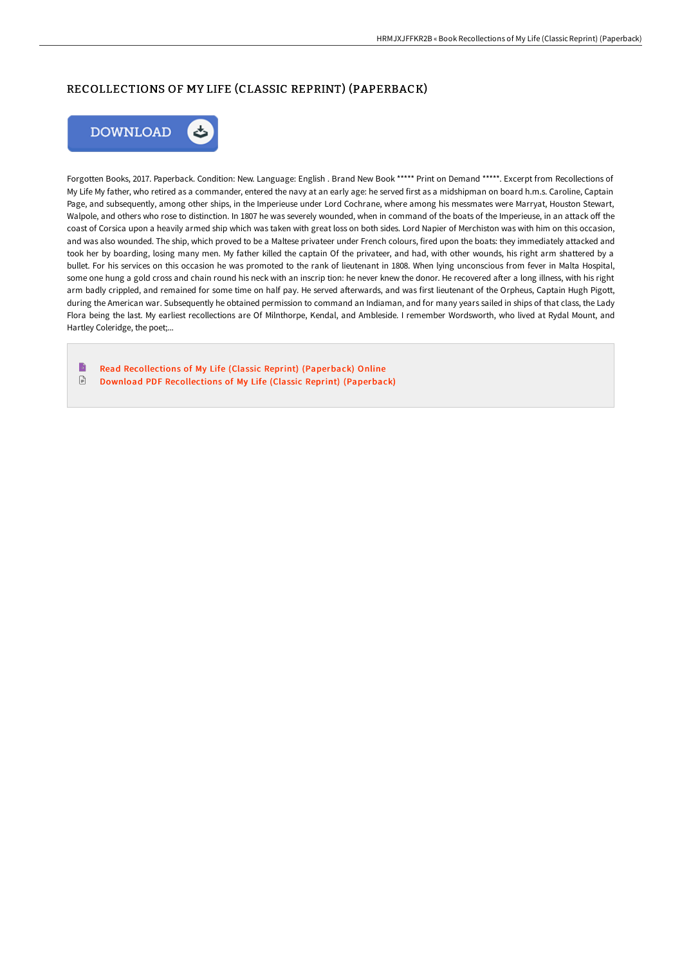# RECOLLECTIONS OF MY LIFE (CLASSIC REPRINT) (PAPERBACK)



Forgotten Books, 2017. Paperback. Condition: New. Language: English . Brand New Book \*\*\*\*\* Print on Demand \*\*\*\*\*. Excerpt from Recollections of My Life My father, who retired as a commander, entered the navy at an early age: he served first as a midshipman on board h.m.s. Caroline, Captain Page, and subsequently, among other ships, in the Imperieuse under Lord Cochrane, where among his messmates were Marryat, Houston Stewart, Walpole, and others who rose to distinction. In 1807 he was severely wounded, when in command of the boats of the Imperieuse, in an attack off the coast of Corsica upon a heavily armed ship which was taken with great loss on both sides. Lord Napier of Merchiston was with him on this occasion, and was also wounded. The ship, which proved to be a Maltese privateer under French colours, fired upon the boats: they immediately attacked and took her by boarding, losing many men. My father killed the captain Of the privateer, and had, with other wounds, his right arm shattered by a bullet. For his services on this occasion he was promoted to the rank of lieutenant in 1808. When lying unconscious from fever in Malta Hospital, some one hung a gold cross and chain round his neck with an inscrip tion: he never knew the donor. He recovered after a long illness, with his right arm badly crippled, and remained for some time on half pay. He served afterwards, and was first lieutenant of the Orpheus, Captain Hugh Pigott, during the American war. Subsequently he obtained permission to command an Indiaman, and for many years sailed in ships of that class, the Lady Flora being the last. My earliest recollections are Of Milnthorpe, Kendal, and Ambleside. I remember Wordsworth, who lived at Rydal Mount, and Hartley Coleridge, the poet;...

B Read [Recollections](http://www.bookdirs.com/recollections-of-my-life-classic-reprint-paperba.html) of My Life (Classic Reprint) (Paperback) Online  $\ensuremath{\mathop\square}\xspace$ Download PDF [Recollections](http://www.bookdirs.com/recollections-of-my-life-classic-reprint-paperba.html) of My Life (Classic Reprint) (Paperback)